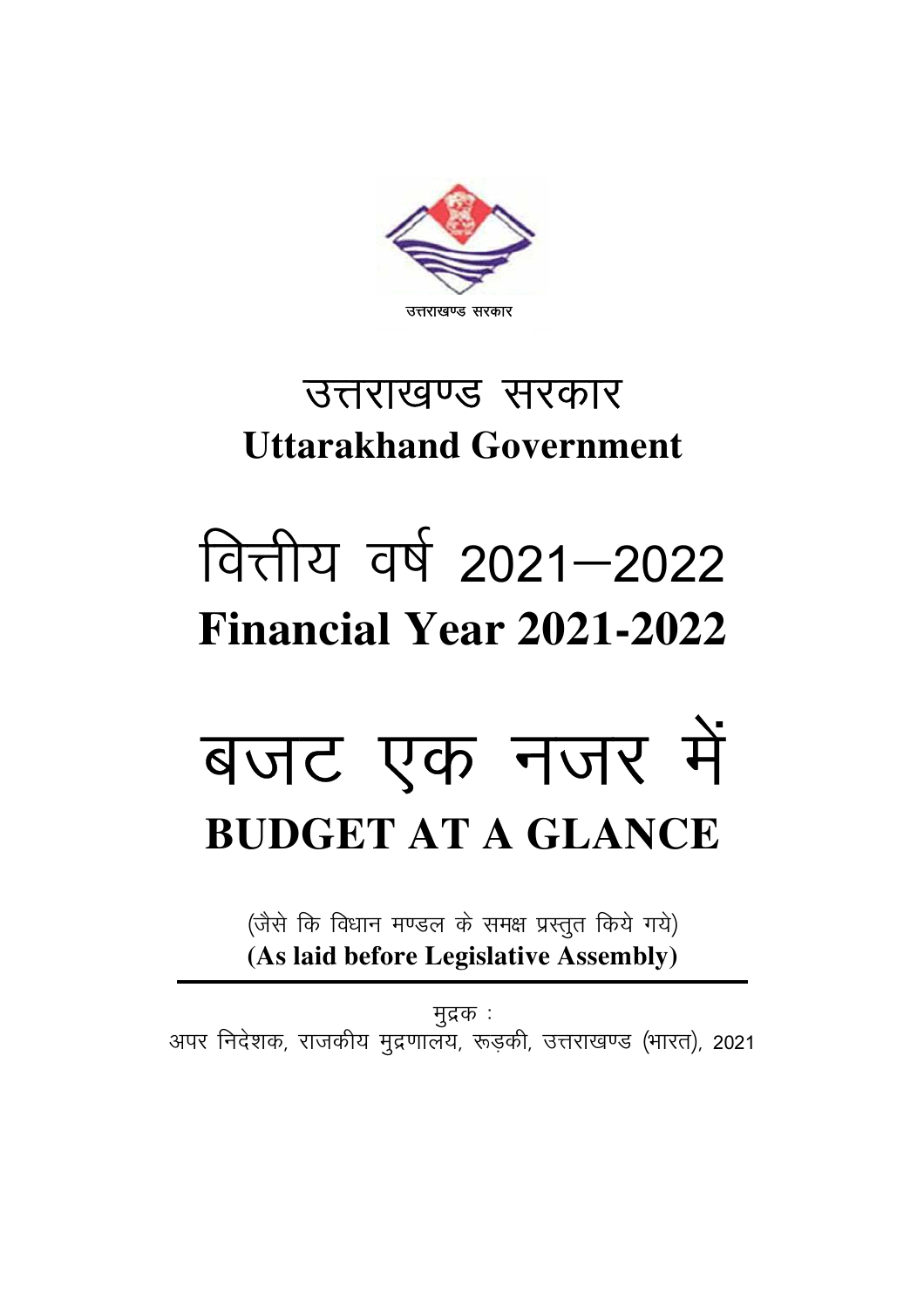

### उत्तराखण्ड सरकार **Uttarakhand Government**

## वित्तीय वर्ष 2021-2022 **Financial Year 2021-2022**

# बजट एक नजर में **BUDGET AT A GLANCE**

(जैसे कि विधान मण्डल के समक्ष प्रस्तुत किये गये) **(As laid before Legislative Assembly)** 

मुद्रक : अपर निदेशक, राजकीय मुद्रणालय, रूड़की, उत्तराखण्ड (भारत), 2021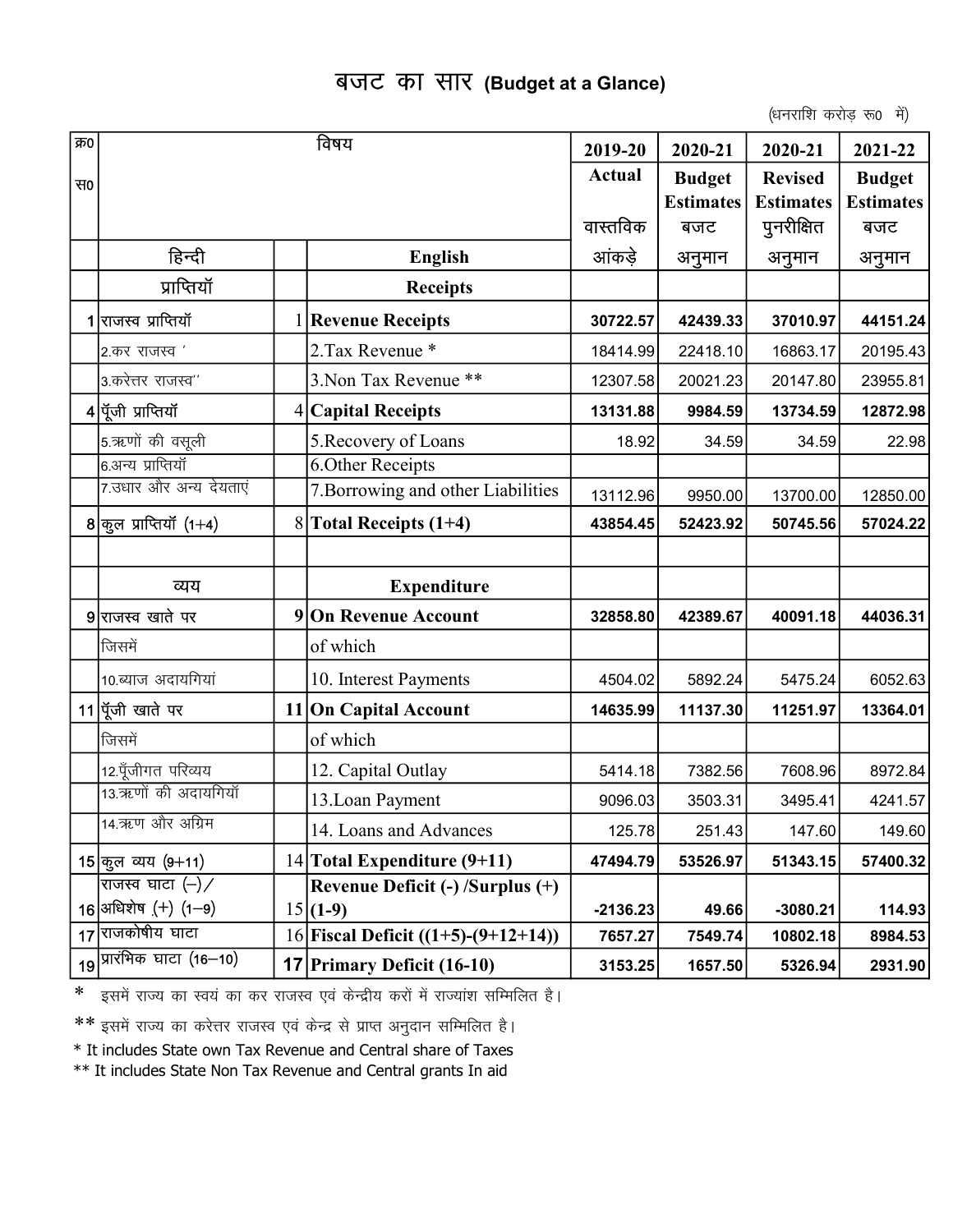#### बजट का सार (Budget at a Glance)

(धनराशि करोड रू0 में)

| क्र0 |                                         | विषय                                  | 2019-20       | 2020-21          | 2020-21          | 2021-22          |
|------|-----------------------------------------|---------------------------------------|---------------|------------------|------------------|------------------|
| स0   |                                         |                                       | <b>Actual</b> | <b>Budget</b>    | <b>Revised</b>   | <b>Budget</b>    |
|      |                                         |                                       |               | <b>Estimates</b> | <b>Estimates</b> | <b>Estimates</b> |
|      |                                         |                                       | वास्तविक      | बजट              | पुनरीक्षित       | बजट              |
|      | हिन्दी                                  | <b>English</b>                        | आंकड़े        | अनुमान           | अनुमान           | अनुमान           |
|      | प्राप्तियॉ                              | <b>Receipts</b>                       |               |                  |                  |                  |
|      | 1 राजस्व प्राप्तियॉ                     | <b>Revenue Receipts</b>               | 30722.57      | 42439.33         | 37010.97         | 44151.24         |
|      | 2.कर राजस्व <i>'</i>                    | 2. Tax Revenue *                      | 18414.99      | 22418.10         | 16863.17         | 20195.43         |
|      | 3.करेत्तर राजस्व''                      | 3. Non Tax Revenue **                 | 12307.58      | 20021.23         | 20147.80         | 23955.81         |
|      | 4 पूँजी प्राप्तियॉ                      | 4 Capital Receipts                    | 13131.88      | 9984.59          | 13734.59         | 12872.98         |
|      | 5.ऋणों की वसूली                         | 5. Recovery of Loans                  | 18.92         | 34.59            | 34.59            | 22.98            |
|      | 6.अन्य प्राप्तियॉ                       | <b>6.Other Receipts</b>               |               |                  |                  |                  |
|      | 7.उधार और अन्य देयताएं                  | 7. Borrowing and other Liabilities    | 13112.96      | 9950.00          | 13700.00         | 12850.00         |
|      | 8 $q_{\overline{3}}$ ल प्राप्तियॉ (1+4) | $8$ Total Receipts (1+4)              | 43854.45      | 52423.92         | 50745.56         | 57024.22         |
|      |                                         |                                       |               |                  |                  |                  |
|      | व्यय                                    | <b>Expenditure</b>                    |               |                  |                  |                  |
|      | 9 राजस्व खाते पर                        | 9 On Revenue Account                  | 32858.80      | 42389.67         | 40091.18         | 44036.31         |
|      | जिसमें                                  | of which                              |               |                  |                  |                  |
|      | 10.ब्याज अदायगियां                      | 10. Interest Payments                 | 4504.02       | 5892.24          | 5475.24          | 6052.63          |
|      | 11 पूँजी खाते पर                        | 11 On Capital Account                 | 14635.99      | 11137.30         | 11251.97         | 13364.01         |
|      | जिसमें                                  | of which                              |               |                  |                  |                  |
|      | 12.पूँजीगत परिव्यय                      | 12. Capital Outlay                    | 5414.18       | 7382.56          | 7608.96          | 8972.84          |
|      | 13.ऋणों की अदायगियाँ                    | 13. Loan Payment                      | 9096.03       | 3503.31          | 3495.41          | 4241.57          |
|      | 14.ऋण और अग्रिम                         | 14. Loans and Advances                | 125.78        | 251.43           | 147.60           | 149.60           |
|      | 15 कूल व्यय (9+11)                      | 14 Total Expenditure (9+11)           | 47494.79      | 53526.97         | 51343.15         | 57400.32         |
|      | राजस्व घाटा $(-)$                       | Revenue Deficit (-) /Surplus (+)      |               |                  |                  |                  |
|      | 16 अधिशेष $(+)$ (1-9)                   | $15(1-9)$                             | $-2136.23$    | 49.66            | $-3080.21$       | 114.93           |
|      | 17 राजकोषीय घाटा                        | 16 Fiscal Deficit $((1+5)-(9+12+14))$ | 7657.27       | 7549.74          | 10802.18         | 8984.53          |
|      | 19 प्रारंभिक घाटा (16–10)               | <b>17 Primary Deficit (16-10)</b>     | 3153.25       | 1657.50          | 5326.94          | 2931.90          |

\* इसमें राज्य का स्वयं का कर राजस्व एवं केन्द्रीय करों में राज्यांश सम्मिलित है।

\*\* इसमें राज्य का करेत्तर राजस्व एवं केन्द्र से प्राप्त अनुदान सम्मिलित है।

\* It includes State own Tax Revenue and Central share of Taxes

\*\* It includes State Non Tax Revenue and Central grants In aid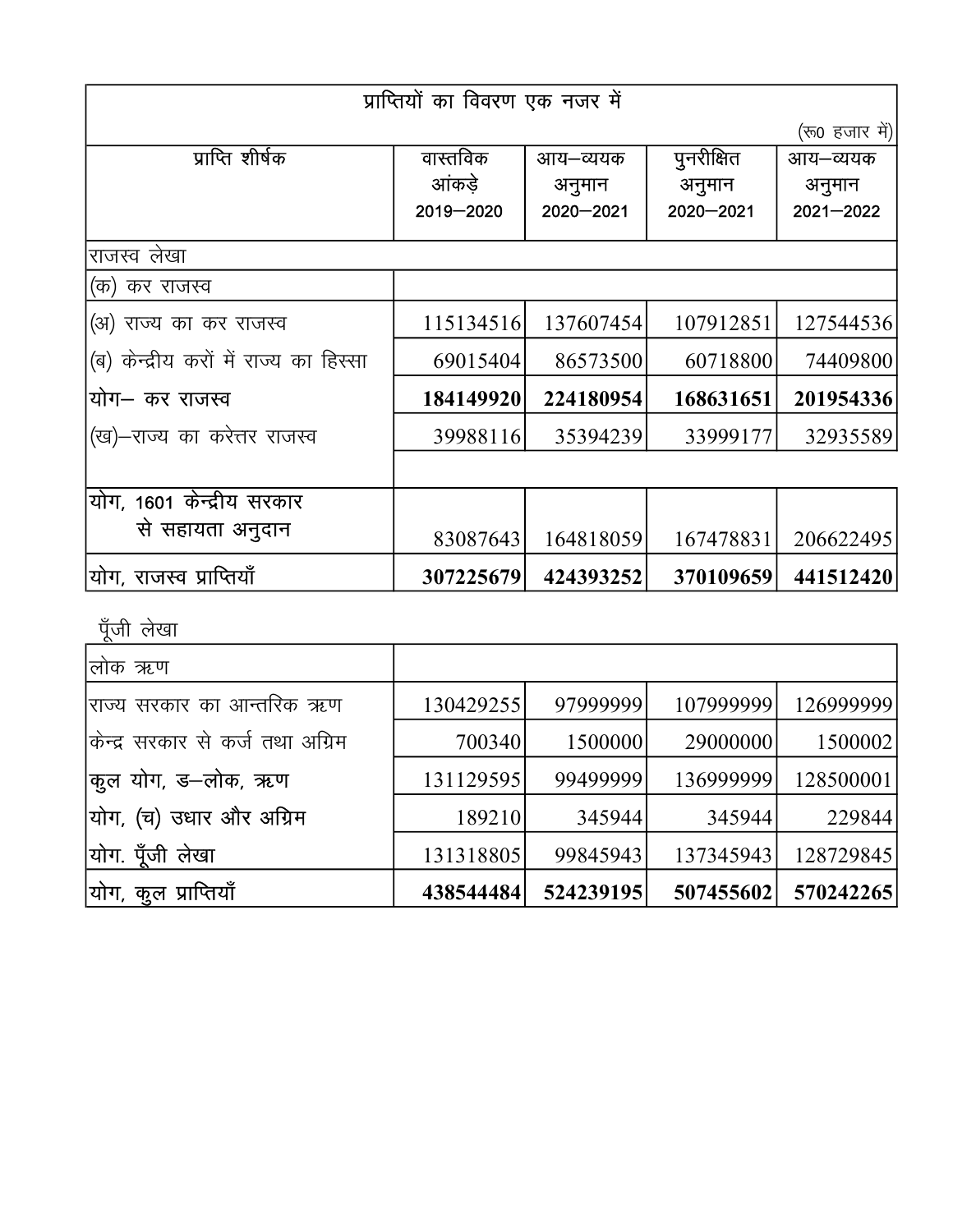|                                        | प्राप्तियों का विवरण एक नजर में |             |             |                |
|----------------------------------------|---------------------------------|-------------|-------------|----------------|
|                                        |                                 |             |             | (रू0 हजार में) |
| प्राप्ति शीर्षक                        | वास्तविक                        | आय–व्ययक    | पुनरीक्षित  | आय–व्ययक       |
|                                        | आंकडे                           | अनुमान      | अनुमान      | अनुमान         |
|                                        | 2019-2020                       | 2020 - 2021 | 2020 - 2021 | $2021 - 2022$  |
| राजस्व लेखा                            |                                 |             |             |                |
| (क) कर राजस्व                          |                                 |             |             |                |
| (अ) राज्य का कर राजस्व                 | 115134516                       | 137607454   | 107912851   | 127544536      |
| (ब) केन्द्रीय करों में राज्य का हिस्सा | 69015404                        | 86573500    | 60718800    | 74409800       |
| योग– कर राजस्व                         | 184149920                       | 224180954   | 168631651   | 201954336      |
| (ख)–राज्य का करेत्तर राजस्व            | 39988116                        | 35394239    | 33999177    | 32935589       |
|                                        |                                 |             |             |                |
| योग, 1601 केन्द्रीय सरकार              |                                 |             |             |                |
| से सहायता अनुदान                       | 83087643                        | 164818059   | 167478831   | 206622495      |
| योग, राजस्व प्राप्तियाँ                | 307225679                       | 424393252   | 370109659   | 441512420      |

पूँजी लेखा

| लोक ऋण                           |           |           |           |           |
|----------------------------------|-----------|-----------|-----------|-----------|
| राज्य सरकार का आन्तरिक ऋण        | 130429255 | 97999999  | 107999999 | 126999999 |
| किन्द्र सरकार से कर्ज तथा अग्रिम | 700340    | 1500000   | 29000000  | 1500002   |
| कुल योग, ड–लोक, ऋण               | 131129595 | 99499999  | 136999999 | 128500001 |
| योग, (च) उधार और अग्रिम          | 189210    | 345944    | 345944    | 229844    |
| योग. पूँजी लेखा                  | 131318805 | 99845943  | 137345943 | 128729845 |
| योग, कूल प्राप्तियाँ             | 438544484 | 524239195 | 507455602 | 570242265 |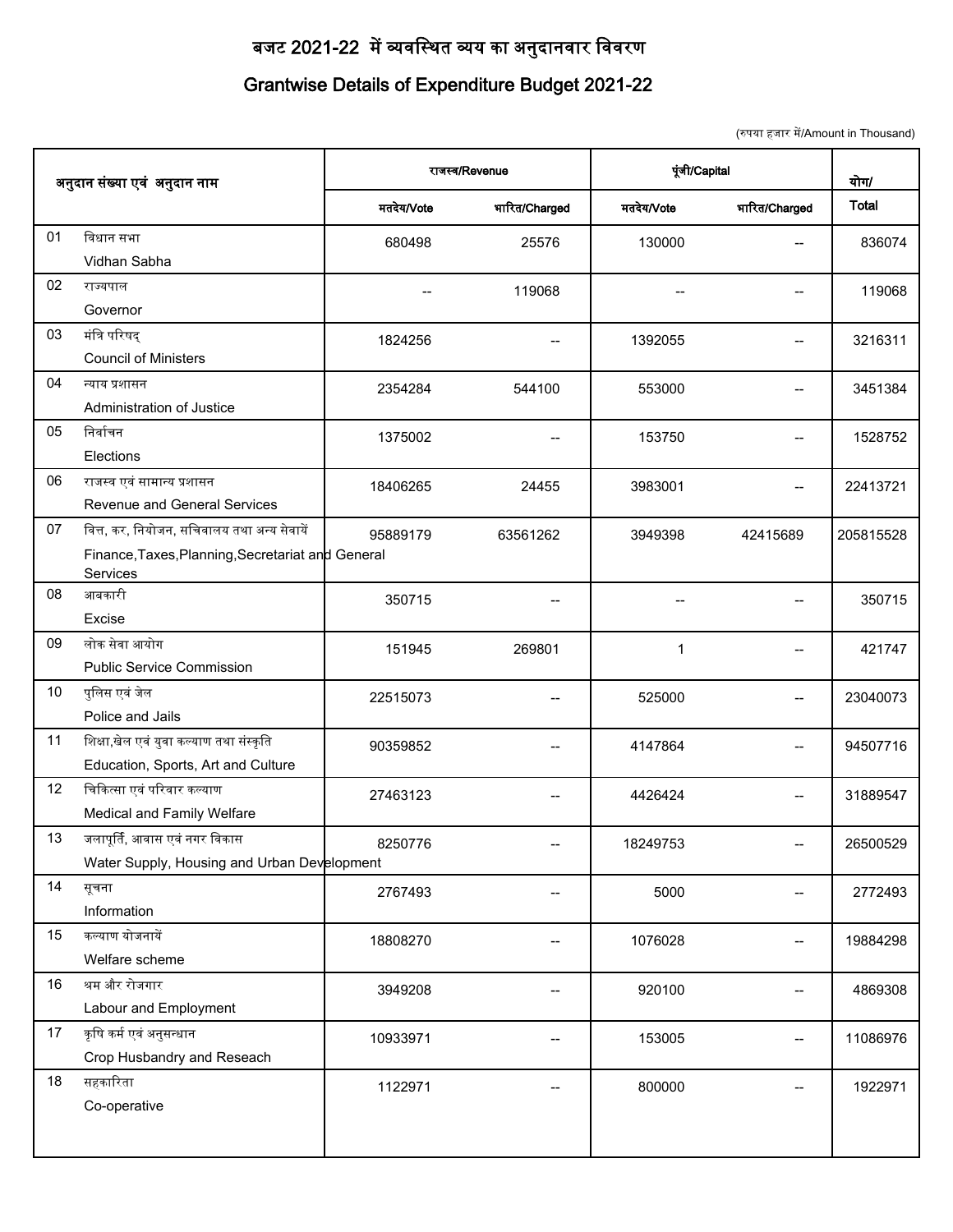#### बजट 2021-22 में व्यवस्थित व्यय का अनुदानवार विवरण

#### **Grantwise Details of Expenditure Budget 2021-22**

|    |                                                               |                |               |            | (रुपया हजार में/Amount in Thousand) |              |
|----|---------------------------------------------------------------|----------------|---------------|------------|-------------------------------------|--------------|
|    | अनुदान संख्या एवं अनुदान नाम                                  | राजस्व/Revenue |               |            | पूंजी/Capital                       |              |
|    |                                                               | मतदेय/Vote     | भारित/Charged | मतदेय/Vote | भारित/Charged                       | <b>Total</b> |
| 01 | विधान सभा                                                     | 680498         | 25576         | 130000     | $-$                                 | 836074       |
|    | Vidhan Sabha                                                  |                |               |            |                                     |              |
| 02 | राज्यपाल                                                      | --             | 119068        |            | --                                  | 119068       |
|    | Governor                                                      |                |               |            |                                     |              |
| 03 | मंत्रि परिषद्                                                 | 1824256        |               | 1392055    |                                     | 3216311      |
|    | <b>Council of Ministers</b>                                   |                |               |            |                                     |              |
| 04 | न्याय प्रशासन                                                 | 2354284        | 544100        | 553000     | $-$                                 | 3451384      |
|    | Administration of Justice                                     |                |               |            |                                     |              |
| 05 | निर्वाचन                                                      | 1375002        | $-$           | 153750     | $-$                                 | 1528752      |
|    | Elections                                                     |                |               |            |                                     |              |
| 06 | राजस्व एवं सामान्य प्रशासन                                    | 18406265       | 24455         | 3983001    | --                                  | 22413721     |
|    | Revenue and General Services                                  |                |               |            |                                     |              |
| 07 | वित्त, कर, नियोजन, सचिवालय तथा अन्य सेवायें                   | 95889179       | 63561262      | 3949398    | 42415689                            | 205815528    |
|    | Finance, Taxes, Planning, Secretariat and General<br>Services |                |               |            |                                     |              |
| 08 | आबकारी                                                        | 350715         |               |            |                                     | 350715       |
|    | Excise                                                        |                |               |            |                                     |              |
| 09 | लोक सेवा आयोग                                                 | 151945         | 269801        | 1          |                                     | 421747       |
|    | <b>Public Service Commission</b>                              |                |               |            |                                     |              |
| 10 | पुलिस एवं जेल                                                 | 22515073       |               | 525000     | $-$                                 | 23040073     |
|    | Police and Jails                                              |                |               |            |                                     |              |
| 11 | शिक्षा,खेल एवं युवा कल्याण तथा संस्कृति                       | 90359852       | $-$           | 4147864    | $-$                                 | 94507716     |
|    | Education, Sports, Art and Culture                            |                |               |            |                                     |              |
| 12 | चिकित्सा एवं परिवार कल्याण                                    | 27463123       | --            | 4426424    | --                                  | 31889547     |
|    | Medical and Family Welfare                                    |                |               |            |                                     |              |
| 13 | जलापूर्ति, आवास एवं नगर विकास                                 | 8250776        | --            | 18249753   | $-$                                 | 26500529     |
|    | Water Supply, Housing and Urban Development                   |                |               |            |                                     |              |
| 14 | सूचना                                                         | 2767493        |               | 5000       |                                     | 2772493      |
|    | Information                                                   |                |               |            |                                     |              |
| 15 | कल्याण योजनायें                                               | 18808270       |               | 1076028    | --                                  | 19884298     |
|    | Welfare scheme                                                |                |               |            |                                     |              |
| 16 | श्रम और रोजगार                                                | 3949208        | --            | 920100     | $-$                                 | 4869308      |
|    | Labour and Employment                                         |                |               |            |                                     |              |
| 17 | कृषि कर्म एवं अनुसन्धान                                       | 10933971       |               | 153005     | $-$                                 | 11086976     |
|    | Crop Husbandry and Reseach                                    |                |               |            |                                     |              |
| 18 | सहकारिता                                                      | 1122971        |               | 800000     |                                     | 1922971      |
|    | Co-operative                                                  |                |               |            |                                     |              |
|    |                                                               |                |               |            |                                     |              |
|    |                                                               |                |               |            |                                     |              |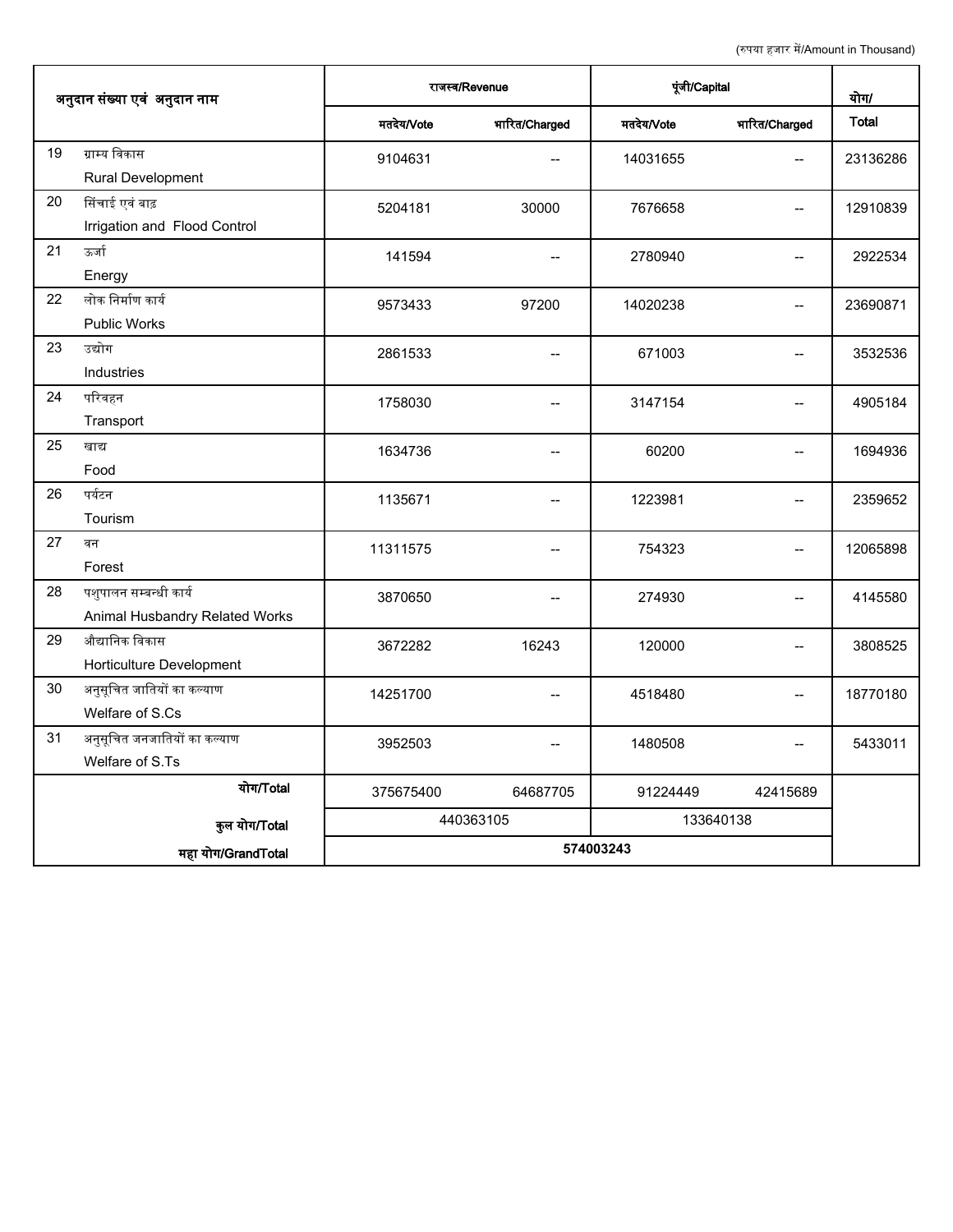|                                                                |                |               |               | (रुपया हजार में/Amount in Thousand)   |          |
|----------------------------------------------------------------|----------------|---------------|---------------|---------------------------------------|----------|
| अनुदान संख्या एवं अनुदान नाम                                   | राजस्व/Revenue |               | पूंजी/Capital |                                       | योग/     |
|                                                                | मतदेय/Vote     | भारित/Charged | मतदेय/Vote    | भारित/Charged                         | Total    |
| 19<br>ग्राम्य विकास<br>Rural Development                       | 9104631        | $-$           | 14031655      | $\overline{\phantom{a}}$              | 23136286 |
| 20<br>सिंचाई एवं बाढ़<br>Irrigation and Flood Control          | 5204181        | 30000         | 7676658       | $\hspace{0.05cm}$ – $\hspace{0.05cm}$ | 12910839 |
| 21<br>ऊर्जा<br>Energy                                          | 141594         |               | 2780940       | --                                    | 2922534  |
| लोक निर्माण कार्य<br>22<br>Public Works                        | 9573433        | 97200         | 14020238      | $-$                                   | 23690871 |
| 23<br>उद्योग<br>Industries                                     | 2861533        | --            | 671003        | --                                    | 3532536  |
| 24<br>परिवहन<br>Transport                                      | 1758030        |               | 3147154       |                                       | 4905184  |
| 25<br>खाद्य<br>Food                                            | 1634736        | --            | 60200         | --                                    | 1694936  |
| 26<br>पर्यटन<br>Tourism                                        | 1135671        | $-$           | 1223981       |                                       | 2359652  |
| 27<br>वन<br>Forest                                             | 11311575       | $-$           | 754323        | --                                    | 12065898 |
| पशुपालन सम्बन्धी कार्य<br>28<br>Animal Husbandry Related Works | 3870650        | $- -$         | 274930        | $\hspace{0.05cm}$ – $\hspace{0.05cm}$ | 4145580  |
| 29<br>औद्यानिक विकास<br>Horticulture Development               | 3672282        | 16243         | 120000        | $\qquad \qquad -$                     | 3808525  |
| $30\,$<br>अनुसूचित जातियों का कल्याण<br>Welfare of S.Cs        | 14251700       |               | 4518480       | $\qquad \qquad -$                     | 18770180 |
| अनुसूचित जनजातियों का कल्याण<br>31<br>Welfare of S.Ts          | 3952503        |               | 1480508       |                                       | 5433011  |
| योग/Total                                                      | 375675400      | 64687705      | 91224449      | 42415689                              |          |
| कुल योग/Total                                                  |                | 440363105     | 133640138     |                                       |          |
| महा योग/GrandTotal                                             | 574003243      |               |               |                                       |          |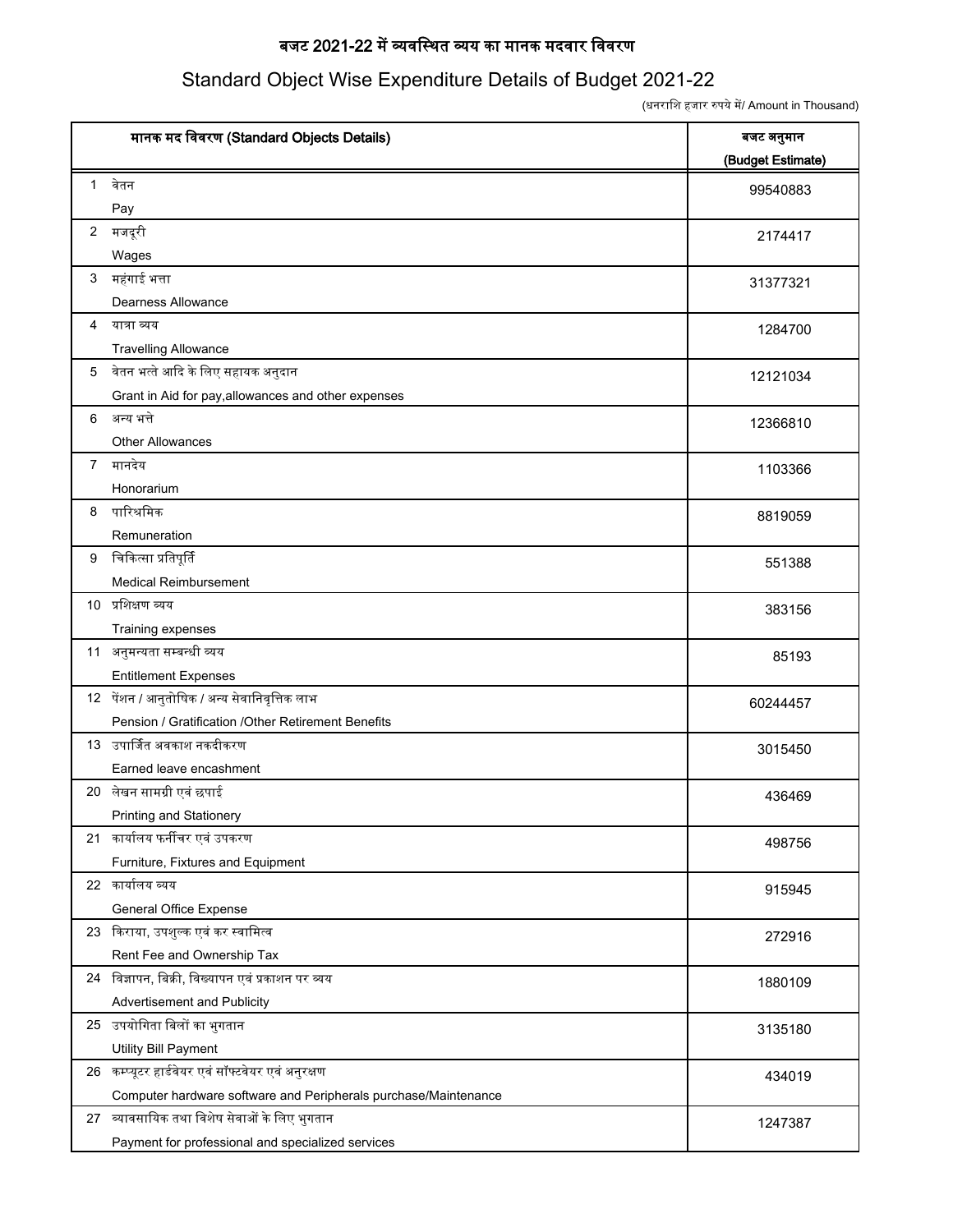#### बजट 2021-22 में व्यवस्थित व्यय का मानक मदवार विवरण

#### Standard Object Wise Expenditure Details of Budget 2021-22

(धनराशि हजार रुपये में/ Amount in Thousand)

|              | मानक मद विवरण (Standard Objects Details)                        | बजट अनुमान<br>(Budget Estimate) |
|--------------|-----------------------------------------------------------------|---------------------------------|
| $\mathbf{1}$ | वेतन                                                            | 99540883                        |
|              | Pay                                                             |                                 |
|              | 2 मजदूरी                                                        | 2174417                         |
|              | Wages                                                           |                                 |
|              | 3 महंगाई भत्ता                                                  | 31377321                        |
|              | Dearness Allowance                                              |                                 |
| 4            | यात्रा व्यय                                                     | 1284700                         |
|              | <b>Travelling Allowance</b>                                     |                                 |
| 5            | वेतन भत्ते आदि के लिए सहायक अनुदान                              | 12121034                        |
|              | Grant in Aid for pay, allowances and other expenses             |                                 |
|              | 6 अन्य भत्ते                                                    | 12366810                        |
|              | <b>Other Allowances</b>                                         |                                 |
|              | 7 मानदेय                                                        | 1103366                         |
|              | Honorarium                                                      |                                 |
| 8            | पारिश्रमिक                                                      | 8819059                         |
|              | Remuneration                                                    |                                 |
| 9            | चिकित्सा प्रतिपूर्ति                                            | 551388                          |
|              | <b>Medical Reimbursement</b>                                    |                                 |
|              | 10 प्रशिक्षण व्यय                                               | 383156                          |
|              | Training expenses                                               |                                 |
|              | 11 अनुमन्यता सम्बन्धी व्यय                                      | 85193                           |
|              | <b>Entitlement Expenses</b>                                     |                                 |
|              | 12 पेंशन / आनुतोषिक / अन्य सेवानिवृत्तिक लाभ                    | 60244457                        |
|              | Pension / Gratification / Other Retirement Benefits             |                                 |
|              | 13 उपार्जित अवकाश नकदीकरण                                       | 3015450                         |
|              | Earned leave encashment                                         |                                 |
|              | 20 लेखन सामग्री एवं छपाई                                        | 436469                          |
|              | Printing and Stationery                                         |                                 |
|              | 21 कार्यालय फर्नीचर एवं उपकरण                                   | 498756                          |
|              | Furniture, Fixtures and Equipment                               |                                 |
|              | 22 कार्यालय व्यय                                                | 915945                          |
|              | General Office Expense                                          |                                 |
|              | 23 किराया, उपशुल्क एवं कर स्वामित्व                             | 272916                          |
|              | Rent Fee and Ownership Tax                                      |                                 |
|              | 24 विज्ञापन, बिक्री, विख्यापन एवं प्रकाशन पर व्यय               | 1880109                         |
|              | Advertisement and Publicity                                     |                                 |
|              | 25 उपयोगिता बिलों का भुगतान                                     | 3135180                         |
|              | Utility Bill Payment                                            |                                 |
|              | 26 कम्प्यूटर हार्डवेयर एवं सॉफ्टवेयर एवं अनुरक्षण               | 434019                          |
|              | Computer hardware software and Peripherals purchase/Maintenance |                                 |
|              | 27 व्यावसायिक तथा विशेष सेवाओं के लिए भुगतान                    | 1247387                         |
|              | Payment for professional and specialized services               |                                 |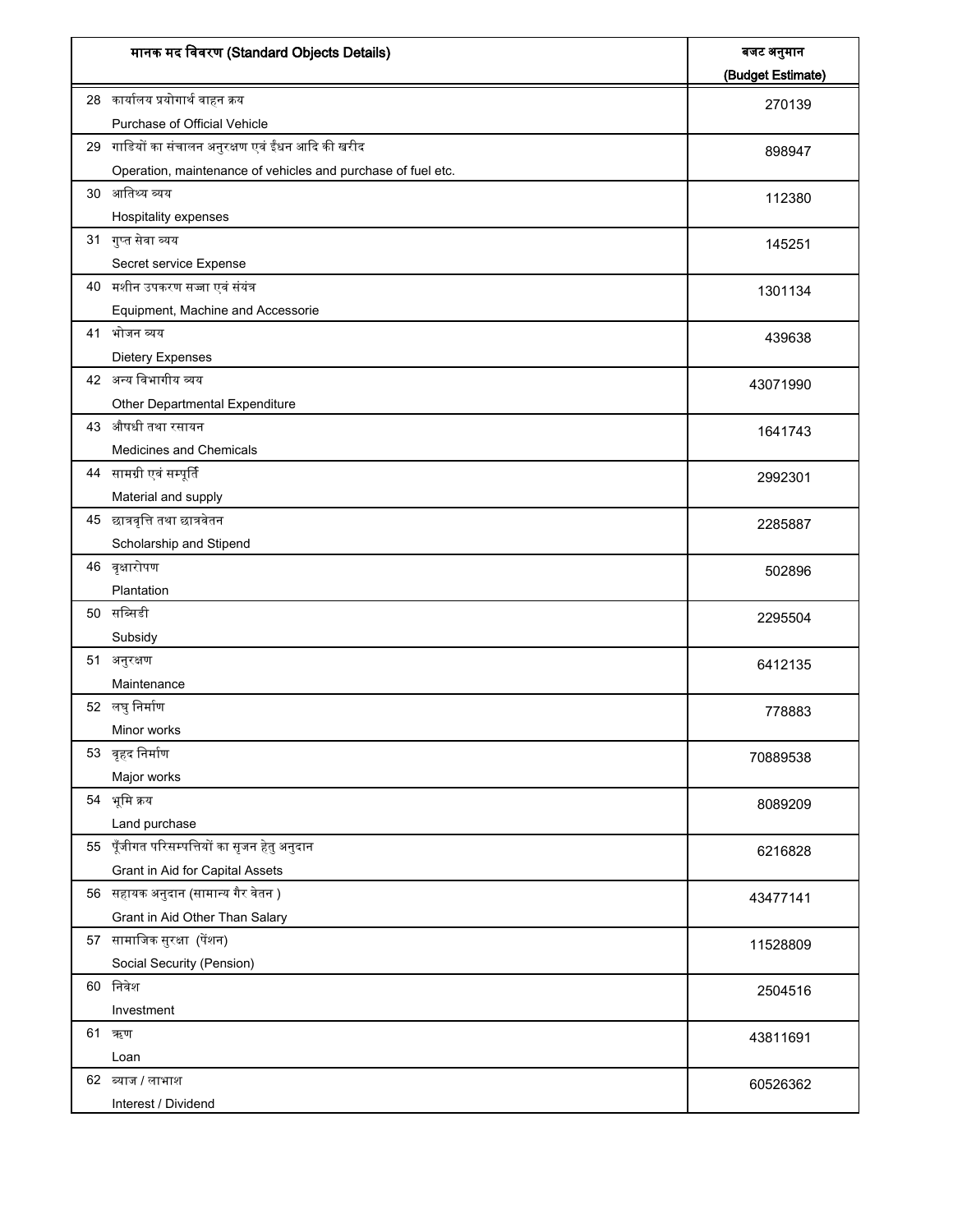| मानक मद विवरण (Standard Objects Details)                     | बजट अनुमान<br>(Budget Estimate) |
|--------------------------------------------------------------|---------------------------------|
| 28 कार्यालय प्रयोगार्थ वाहन क्रय                             | 270139                          |
| Purchase of Official Vehicle                                 |                                 |
| 29 गाडियों का संचालन अनुरक्षण एवं ईंधन आदि की खरीद           | 898947                          |
| Operation, maintenance of vehicles and purchase of fuel etc. |                                 |
| 30 आतिथ्य व्यय                                               | 112380                          |
| Hospitality expenses                                         |                                 |
| 31 गुप्त सेवा व्यय                                           | 145251                          |
| Secret service Expense                                       |                                 |
| 40 मशीन उपकरण सज्जा एवं संयंत्र                              | 1301134                         |
| Equipment, Machine and Accessorie                            |                                 |
| 41 भोजन व्यय                                                 | 439638                          |
| Dietery Expenses                                             |                                 |
| 42 अन्य विभागीय व्यय                                         | 43071990                        |
| Other Departmental Expenditure                               |                                 |
| 43 औषधी तथा रसायन                                            |                                 |
| Medicines and Chemicals                                      | 1641743                         |
| 44 सामग्री एवं सम्पूर्ति                                     |                                 |
| Material and supply                                          | 2992301                         |
| 45 छात्रवृत्ति तथा छात्रवेतन                                 |                                 |
|                                                              | 2285887                         |
| Scholarship and Stipend                                      |                                 |
| 46 वृक्षारोपण                                                | 502896                          |
| Plantation                                                   |                                 |
| 50 सब्सिडी                                                   | 2295504                         |
| Subsidy                                                      |                                 |
| 51 अनुरक्षण                                                  | 6412135                         |
| Maintenance                                                  |                                 |
| 52 लघुनिर्माण                                                | 778883                          |
| Minor works                                                  |                                 |
| 53 वृहद निर्माण                                              | 70889538                        |
| Major works                                                  |                                 |
| 54 भूमि क्रय                                                 | 8089209                         |
| Land purchase                                                |                                 |
| 55 पूँजीगत परिसम्पत्तियों का सृजन हेतु अनुदान                | 6216828                         |
| Grant in Aid for Capital Assets                              |                                 |
| 56 सहायक अनुदान (सामान्य गैर वेतन )                          | 43477141                        |
| Grant in Aid Other Than Salary                               |                                 |
| 57 सामाजिक सुरक्षा (पेंशन)                                   | 11528809                        |
| Social Security (Pension)                                    |                                 |
| 60 निवेश                                                     | 2504516                         |
| Investment                                                   |                                 |
| 61 ऋण                                                        | 43811691                        |
| Loan                                                         |                                 |
| 62 ब्याज / लाभाश                                             |                                 |
| Interest / Dividend                                          | 60526362                        |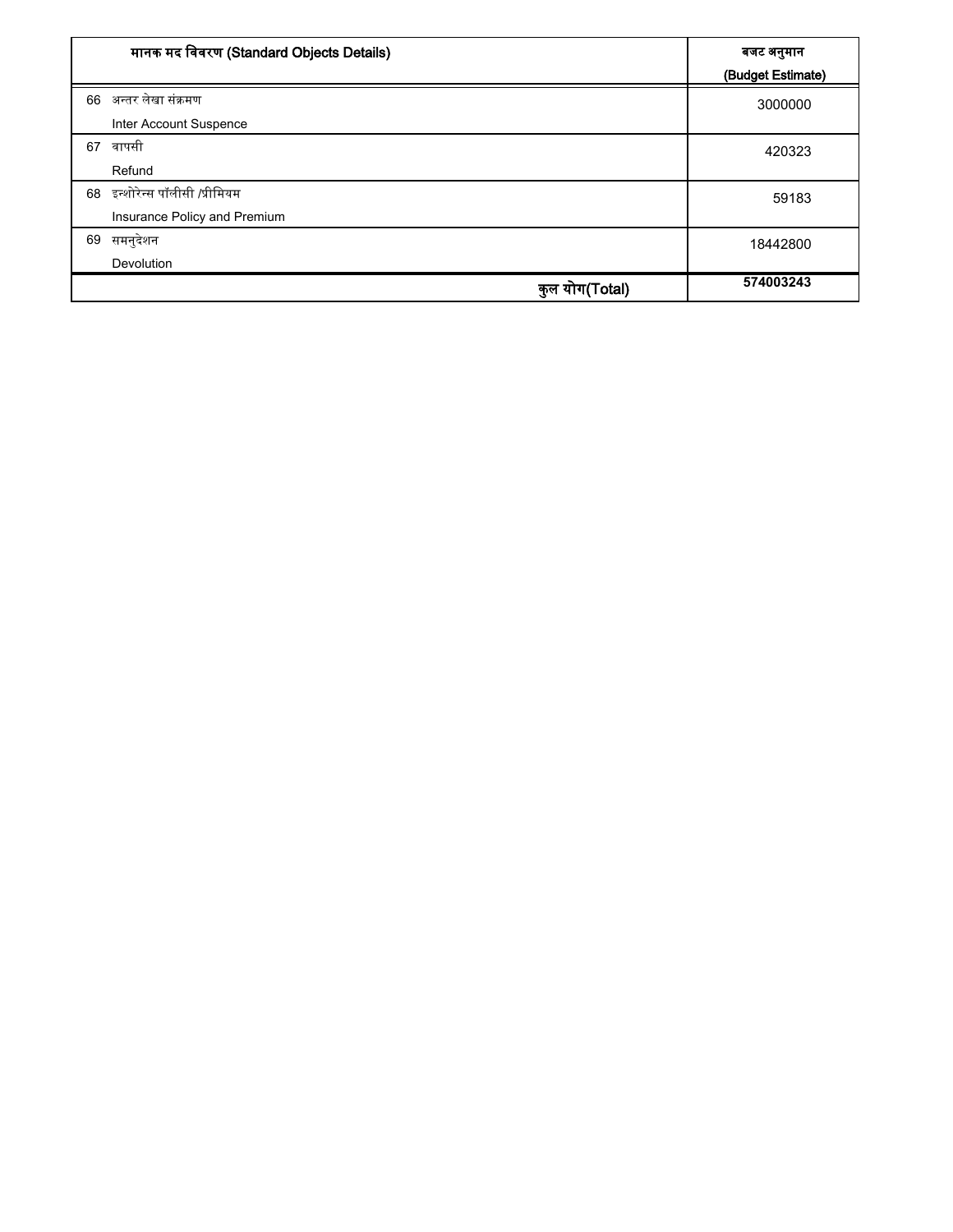| मानक मद विवरण (Standard Objects Details) |           | बजट अनुमान<br>(Budget Estimate) |
|------------------------------------------|-----------|---------------------------------|
| 66 अन्तर लेखा संक्रमण                    |           | 3000000                         |
| Inter Account Suspence                   |           |                                 |
| वापसी<br>67                              |           | 420323                          |
| Refund                                   |           |                                 |
| इन्शोरेन्स पॉलीसी /प्रीमियम<br>68        |           | 59183                           |
| Insurance Policy and Premium             |           |                                 |
| समनुदेशन<br>69                           |           | 18442800                        |
| Devolution                               |           |                                 |
|                                          | ोग(Total) | 574003243                       |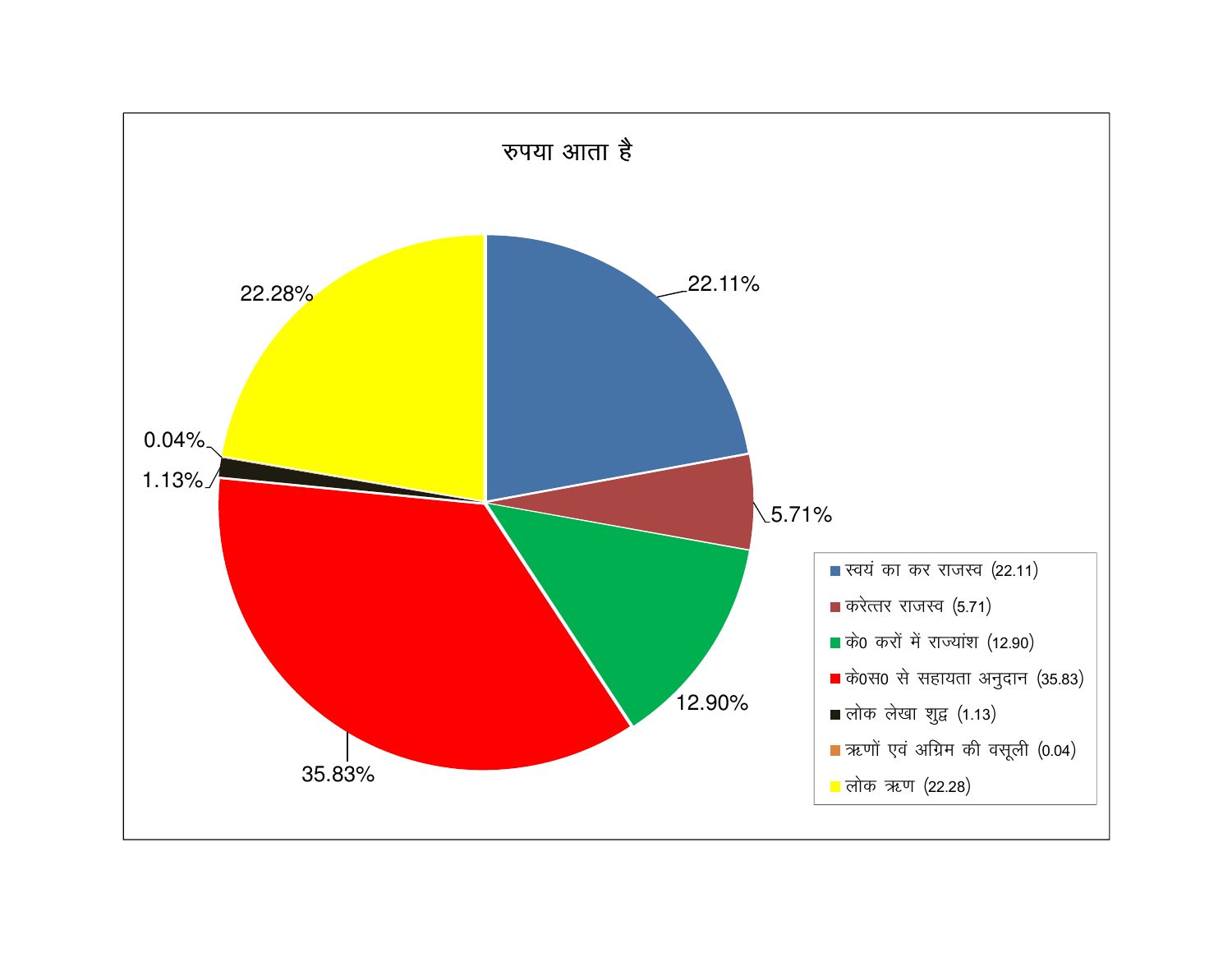